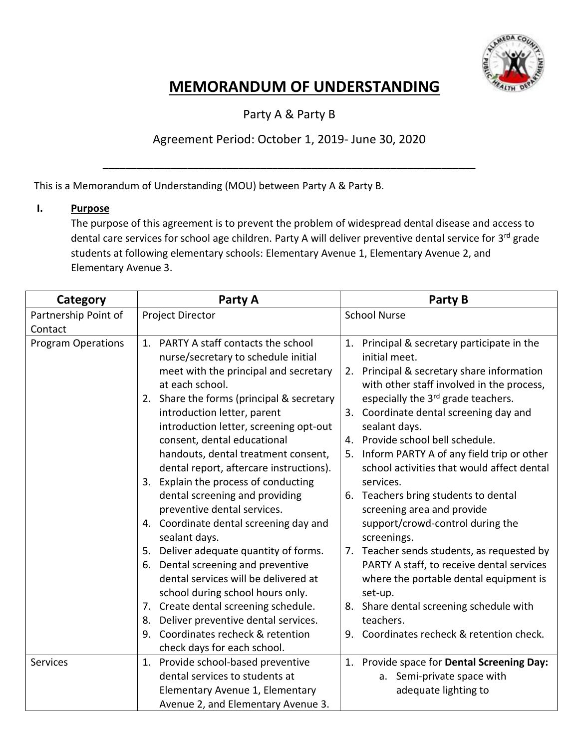

Party A & Party B

#### Agreement Period: October 1, 2019- June 30, 2020

**\_\_\_\_\_\_\_\_\_\_\_\_\_\_\_\_\_\_\_\_\_\_\_\_\_\_\_\_\_\_\_\_\_\_\_\_\_\_\_\_\_\_\_\_\_\_\_\_\_\_\_\_\_\_\_\_\_\_\_\_\_\_\_\_\_\_**

This is a Memorandum of Understanding (MOU) between Party A & Party B.

#### **I. Purpose**

The purpose of this agreement is to prevent the problem of widespread dental disease and access to dental care services for school age children. Party A will deliver preventive dental service for 3<sup>rd</sup> grade students at following elementary schools: Elementary Avenue 1, Elementary Avenue 2, and Elementary Avenue 3.

| Category                        | Party A                                                                                                                                                                                                                                                                                                                                                                                                                                                                                                                                                                                                                                                                                                                                                            | Party B                                                                                                                                                                                                                                                                                                                                                                                                                                                                                                                                                                                                                                                                                                                           |  |  |
|---------------------------------|--------------------------------------------------------------------------------------------------------------------------------------------------------------------------------------------------------------------------------------------------------------------------------------------------------------------------------------------------------------------------------------------------------------------------------------------------------------------------------------------------------------------------------------------------------------------------------------------------------------------------------------------------------------------------------------------------------------------------------------------------------------------|-----------------------------------------------------------------------------------------------------------------------------------------------------------------------------------------------------------------------------------------------------------------------------------------------------------------------------------------------------------------------------------------------------------------------------------------------------------------------------------------------------------------------------------------------------------------------------------------------------------------------------------------------------------------------------------------------------------------------------------|--|--|
| Partnership Point of<br>Contact | Project Director                                                                                                                                                                                                                                                                                                                                                                                                                                                                                                                                                                                                                                                                                                                                                   | <b>School Nurse</b>                                                                                                                                                                                                                                                                                                                                                                                                                                                                                                                                                                                                                                                                                                               |  |  |
| <b>Program Operations</b>       | PARTY A staff contacts the school<br>1.<br>nurse/secretary to schedule initial<br>meet with the principal and secretary<br>at each school.<br>2. Share the forms (principal & secretary<br>introduction letter, parent<br>introduction letter, screening opt-out<br>consent, dental educational<br>handouts, dental treatment consent,<br>dental report, aftercare instructions).<br>3. Explain the process of conducting<br>dental screening and providing<br>preventive dental services.<br>4. Coordinate dental screening day and<br>sealant days.<br>Deliver adequate quantity of forms.<br>5.<br>Dental screening and preventive<br>6.<br>dental services will be delivered at<br>school during school hours only.<br>Create dental screening schedule.<br>7. | Principal & secretary participate in the<br>1.<br>initial meet.<br>2. Principal & secretary share information<br>with other staff involved in the process,<br>especially the 3rd grade teachers.<br>3. Coordinate dental screening day and<br>sealant days.<br>4. Provide school bell schedule.<br>Inform PARTY A of any field trip or other<br>5.<br>school activities that would affect dental<br>services.<br>6. Teachers bring students to dental<br>screening area and provide<br>support/crowd-control during the<br>screenings.<br>7. Teacher sends students, as requested by<br>PARTY A staff, to receive dental services<br>where the portable dental equipment is<br>set-up.<br>8. Share dental screening schedule with |  |  |
|                                 | Deliver preventive dental services.<br>8.<br>Coordinates recheck & retention<br>9.<br>check days for each school.                                                                                                                                                                                                                                                                                                                                                                                                                                                                                                                                                                                                                                                  | teachers.<br>Coordinates recheck & retention check.<br>9.                                                                                                                                                                                                                                                                                                                                                                                                                                                                                                                                                                                                                                                                         |  |  |
| <b>Services</b>                 | Provide school-based preventive<br>1.<br>dental services to students at<br>Elementary Avenue 1, Elementary<br>Avenue 2, and Elementary Avenue 3.                                                                                                                                                                                                                                                                                                                                                                                                                                                                                                                                                                                                                   | Provide space for Dental Screening Day:<br>1.<br>a. Semi-private space with<br>adequate lighting to                                                                                                                                                                                                                                                                                                                                                                                                                                                                                                                                                                                                                               |  |  |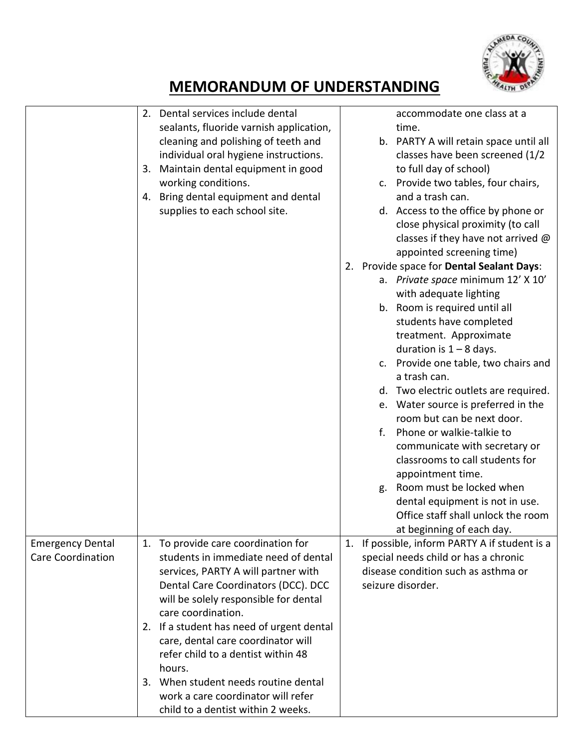

|                                                     | 2. Dental services include dental<br>sealants, fluoride varnish application,<br>cleaning and polishing of teeth and<br>individual oral hygiene instructions.<br>Maintain dental equipment in good<br>3.<br>working conditions.<br>4. Bring dental equipment and dental<br>supplies to each school site.                                                                                                                                                                         | accommodate one class at a<br>time.<br>b. PARTY A will retain space until all<br>classes have been screened (1/2<br>to full day of school)<br>c. Provide two tables, four chairs,<br>and a trash can.<br>d. Access to the office by phone or<br>close physical proximity (to call<br>classes if they have not arrived $\omega$<br>appointed screening time)<br>2. Provide space for Dental Sealant Days:<br>a. Private space minimum 12' X 10'<br>with adequate lighting<br>b. Room is required until all<br>students have completed<br>treatment. Approximate<br>duration is $1 - 8$ days.<br>c. Provide one table, two chairs and<br>a trash can.<br>d. Two electric outlets are required.<br>e. Water source is preferred in the<br>room but can be next door.<br>Phone or walkie-talkie to<br>f.<br>communicate with secretary or<br>classrooms to call students for<br>appointment time.<br>Room must be locked when<br>g.<br>dental equipment is not in use.<br>Office staff shall unlock the room<br>at beginning of each day. |
|-----------------------------------------------------|---------------------------------------------------------------------------------------------------------------------------------------------------------------------------------------------------------------------------------------------------------------------------------------------------------------------------------------------------------------------------------------------------------------------------------------------------------------------------------|---------------------------------------------------------------------------------------------------------------------------------------------------------------------------------------------------------------------------------------------------------------------------------------------------------------------------------------------------------------------------------------------------------------------------------------------------------------------------------------------------------------------------------------------------------------------------------------------------------------------------------------------------------------------------------------------------------------------------------------------------------------------------------------------------------------------------------------------------------------------------------------------------------------------------------------------------------------------------------------------------------------------------------------|
| <b>Emergency Dental</b><br><b>Care Coordination</b> | 1. To provide care coordination for<br>students in immediate need of dental<br>services, PARTY A will partner with<br>Dental Care Coordinators (DCC). DCC<br>will be solely responsible for dental<br>care coordination.<br>2. If a student has need of urgent dental<br>care, dental care coordinator will<br>refer child to a dentist within 48<br>hours.<br>3. When student needs routine dental<br>work a care coordinator will refer<br>child to a dentist within 2 weeks. | If possible, inform PARTY A if student is a<br>1.<br>special needs child or has a chronic<br>disease condition such as asthma or<br>seizure disorder.                                                                                                                                                                                                                                                                                                                                                                                                                                                                                                                                                                                                                                                                                                                                                                                                                                                                                 |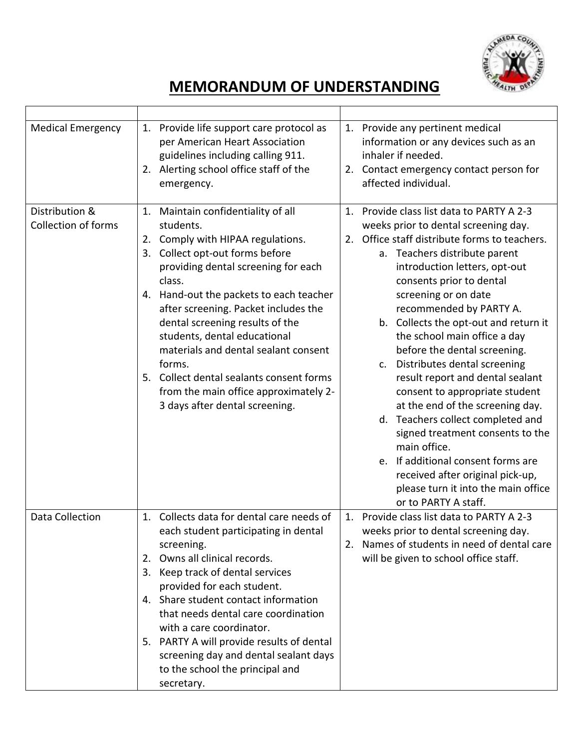

| <b>Medical Emergency</b><br>Distribution &<br><b>Collection of forms</b> | Provide life support care protocol as<br>1.<br>per American Heart Association<br>guidelines including calling 911.<br>Alerting school office staff of the<br>2.<br>emergency.<br>1. Maintain confidentiality of all<br>students.                                                                                                                                                                                                                           | 1. Provide any pertinent medical<br>information or any devices such as an<br>inhaler if needed.<br>2. Contact emergency contact person for<br>affected individual.<br>1. Provide class list data to PARTY A 2-3<br>weeks prior to dental screening day.<br>2. Office staff distribute forms to teachers.                                                                                                                                                                                                                                                                                                                                             |
|--------------------------------------------------------------------------|------------------------------------------------------------------------------------------------------------------------------------------------------------------------------------------------------------------------------------------------------------------------------------------------------------------------------------------------------------------------------------------------------------------------------------------------------------|------------------------------------------------------------------------------------------------------------------------------------------------------------------------------------------------------------------------------------------------------------------------------------------------------------------------------------------------------------------------------------------------------------------------------------------------------------------------------------------------------------------------------------------------------------------------------------------------------------------------------------------------------|
|                                                                          | 2. Comply with HIPAA regulations.<br>3. Collect opt-out forms before<br>providing dental screening for each<br>class.<br>Hand-out the packets to each teacher<br>4.<br>after screening. Packet includes the<br>dental screening results of the<br>students, dental educational<br>materials and dental sealant consent<br>forms.<br>Collect dental sealants consent forms<br>5.<br>from the main office approximately 2-<br>3 days after dental screening. | a. Teachers distribute parent<br>introduction letters, opt-out<br>consents prior to dental<br>screening or on date<br>recommended by PARTY A.<br>b. Collects the opt-out and return it<br>the school main office a day<br>before the dental screening.<br>Distributes dental screening<br>C <sub>1</sub><br>result report and dental sealant<br>consent to appropriate student<br>at the end of the screening day.<br>d. Teachers collect completed and<br>signed treatment consents to the<br>main office.<br>e. If additional consent forms are<br>received after original pick-up,<br>please turn it into the main office<br>or to PARTY A staff. |
| <b>Data Collection</b>                                                   | 1. Collects data for dental care needs of<br>each student participating in dental<br>screening.<br>2. Owns all clinical records.<br>Keep track of dental services<br>3.<br>provided for each student.<br>4. Share student contact information<br>that needs dental care coordination<br>with a care coordinator.<br>5. PARTY A will provide results of dental<br>screening day and dental sealant days<br>to the school the principal and<br>secretary.    | 1. Provide class list data to PARTY A 2-3<br>weeks prior to dental screening day.<br>2. Names of students in need of dental care<br>will be given to school office staff.                                                                                                                                                                                                                                                                                                                                                                                                                                                                            |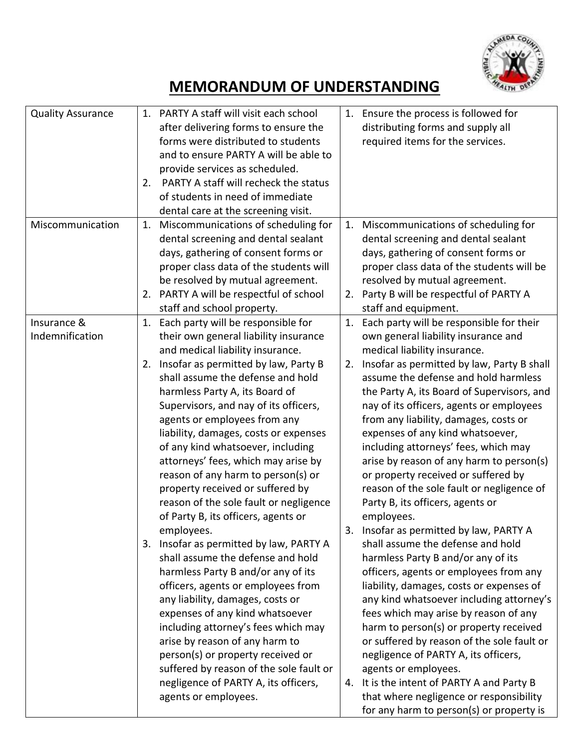

| <b>Quality Assurance</b> |    | 1. PARTY A staff will visit each school |    | 1. Ensure the process is followed for         |
|--------------------------|----|-----------------------------------------|----|-----------------------------------------------|
|                          |    | after delivering forms to ensure the    |    | distributing forms and supply all             |
|                          |    | forms were distributed to students      |    | required items for the services.              |
|                          |    | and to ensure PARTY A will be able to   |    |                                               |
|                          |    | provide services as scheduled.          |    |                                               |
|                          | 2. | PARTY A staff will recheck the status   |    |                                               |
|                          |    | of students in need of immediate        |    |                                               |
|                          |    | dental care at the screening visit.     |    |                                               |
| Miscommunication         | 1. | Miscommunications of scheduling for     | 1. | Miscommunications of scheduling for           |
|                          |    | dental screening and dental sealant     |    | dental screening and dental sealant           |
|                          |    | days, gathering of consent forms or     |    | days, gathering of consent forms or           |
|                          |    | proper class data of the students will  |    | proper class data of the students will be     |
|                          |    | be resolved by mutual agreement.        |    | resolved by mutual agreement.                 |
|                          |    | 2. PARTY A will be respectful of school |    | 2. Party B will be respectful of PARTY A      |
|                          |    | staff and school property.              |    | staff and equipment.                          |
| Insurance &              | 1. | Each party will be responsible for      | 1. | Each party will be responsible for their      |
| Indemnification          |    | their own general liability insurance   |    | own general liability insurance and           |
|                          |    | and medical liability insurance.        |    | medical liability insurance.                  |
|                          | 2. | Insofar as permitted by law, Party B    |    | 2. Insofar as permitted by law, Party B shall |
|                          |    | shall assume the defense and hold       |    | assume the defense and hold harmless          |
|                          |    | harmless Party A, its Board of          |    | the Party A, its Board of Supervisors, and    |
|                          |    | Supervisors, and nay of its officers,   |    | nay of its officers, agents or employees      |
|                          |    | agents or employees from any            |    | from any liability, damages, costs or         |
|                          |    | liability, damages, costs or expenses   |    | expenses of any kind whatsoever,              |
|                          |    | of any kind whatsoever, including       |    | including attorneys' fees, which may          |
|                          |    | attorneys' fees, which may arise by     |    | arise by reason of any harm to person(s)      |
|                          |    | reason of any harm to person(s) or      |    | or property received or suffered by           |
|                          |    | property received or suffered by        |    | reason of the sole fault or negligence of     |
|                          |    | reason of the sole fault or negligence  |    | Party B, its officers, agents or              |
|                          |    | of Party B, its officers, agents or     |    | employees.                                    |
|                          |    | employees.                              |    | 3. Insofar as permitted by law, PARTY A       |
|                          |    | 3. Insofar as permitted by law, PARTY A |    | shall assume the defense and hold             |
|                          |    | shall assume the defense and hold       |    | harmless Party B and/or any of its            |
|                          |    | harmless Party B and/or any of its      |    | officers, agents or employees from any        |
|                          |    | officers, agents or employees from      |    | liability, damages, costs or expenses of      |
|                          |    | any liability, damages, costs or        |    | any kind whatsoever including attorney's      |
|                          |    | expenses of any kind whatsoever         |    | fees which may arise by reason of any         |
|                          |    | including attorney's fees which may     |    | harm to person(s) or property received        |
|                          |    | arise by reason of any harm to          |    | or suffered by reason of the sole fault or    |
|                          |    | person(s) or property received or       |    | negligence of PARTY A, its officers,          |
|                          |    | suffered by reason of the sole fault or |    | agents or employees.                          |
|                          |    | negligence of PARTY A, its officers,    |    | 4. It is the intent of PARTY A and Party B    |
|                          |    | agents or employees.                    |    | that where negligence or responsibility       |
|                          |    |                                         |    | for any harm to person(s) or property is      |